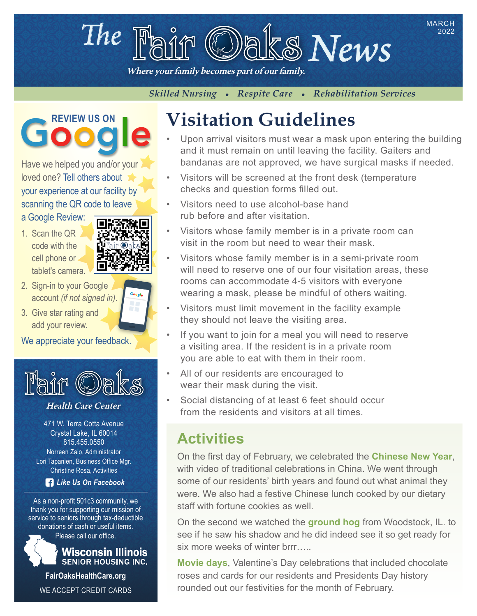# The  $\mathbb{F}_{\text{diff}}$   $\circledcirc$  also News

Where your family becomes part of our family.

*Skilled Nursing • Respite Care • Rehabilitation Services* 

Google

Have we helped you and/or your loved one? Tell others about your experience at our facility by scanning the QR code to leave

a Google Review:

1. Scan the QR code with the cell phone or tablet's camera.



Google

- 2. Sign-in to your Google account *(if not signed in)*.
- 3. Give star rating and add your review.

We appreciate your feedback.



#### Health Care Center

471 W. Terra Cotta Avenue Crystal Lake, IL 60014 815.455.0550 Norreen Zaio, Administrator Lori Tapanien, Business Office Mgr. Christine Rosa, Activities

*Like Us On Facebook*

As a non-profit 501c3 community, we thank you for supporting our mission of service to seniors through tax-deductible donations of cash or useful items.

Please call our office.



**Wisconsin Illinois SENIOR HOUSING INC.** 

**FairOaksHealthCare.org** WE ACCEPT CREDIT CARDS

# **REVIEW US ON Visitation Guidelines**

Upon arrival visitors must wear a mask upon entering the building and it must remain on until leaving the facility. Gaiters and bandanas are not approved, we have surgical masks if needed.

2022

- Visitors will be screened at the front desk (temperature checks and question forms filled out.
- Visitors need to use alcohol-base hand rub before and after visitation.
- Visitors whose family member is in a private room can visit in the room but need to wear their mask.
- Visitors whose family member is in a semi-private room will need to reserve one of our four visitation areas, these rooms can accommodate 4-5 visitors with everyone wearing a mask, please be mindful of others waiting.
- Visitors must limit movement in the facility example they should not leave the visiting area.
- If you want to join for a meal you will need to reserve a visiting area. If the resident is in a private room you are able to eat with them in their room.
- All of our residents are encouraged to wear their mask during the visit.
- Social distancing of at least 6 feet should occur from the residents and visitors at all times.

### **Activities**

On the first day of February, we celebrated the **Chinese New Year**, with video of traditional celebrations in China. We went through some of our residents' birth years and found out what animal they were. We also had a festive Chinese lunch cooked by our dietary staff with fortune cookies as well.

On the second we watched the **ground hog** from Woodstock, IL. to see if he saw his shadow and he did indeed see it so get ready for six more weeks of winter brrr…..

**Movie days**, Valentine's Day celebrations that included chocolate roses and cards for our residents and Presidents Day history rounded out our festivities for the month of February.